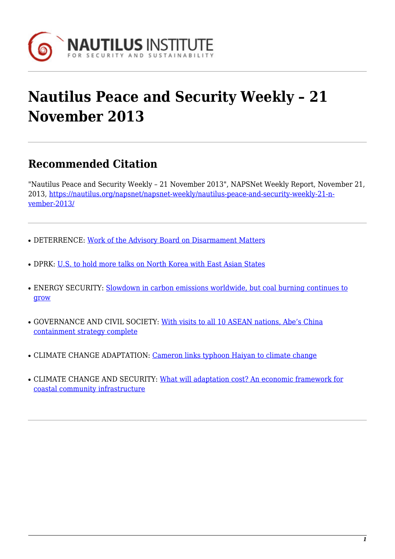

# **Nautilus Peace and Security Weekly – 21 November 2013**

## **Recommended Citation**

"Nautilus Peace and Security Weekly – 21 November 2013", NAPSNet Weekly Report, November 21, 2013, [https://nautilus.org/napsnet/napsnet-weekly/nautilus-peace-and-security-weekly-21-n](https://nautilus.org/napsnet/napsnet-weekly/nautilus-peace-and-security-weekly-21-november-2013/)[vember-2013/](https://nautilus.org/napsnet/napsnet-weekly/nautilus-peace-and-security-weekly-21-november-2013/)

- DETERRENCE: [Work of the Advisory Board on Disarmament Matters](#page-0-0)
- DPRK: [U.S. to hold more talks on North Korea with East Asian States](#page-1-0)
- ENERGY SECURITY: [Slowdown in carbon emissions worldwide, but coal burning continues to](#page-2-0) [grow](#page-2-0)
- GOVERNANCE AND CIVIL SOCIETY: [With visits to all 10 ASEAN nations, Abe's China](#page-2-1) [containment strategy complete](#page-2-1)
- CLIMATE CHANGE ADAPTATION: [Cameron links typhoon Haiyan to climate change](#page-3-0)
- <span id="page-0-0"></span>• CLIMATE CHANGE AND SECURITY: [What will adaptation cost? An economic framework for](#page-3-1) [coastal community infrastructure](#page-3-1)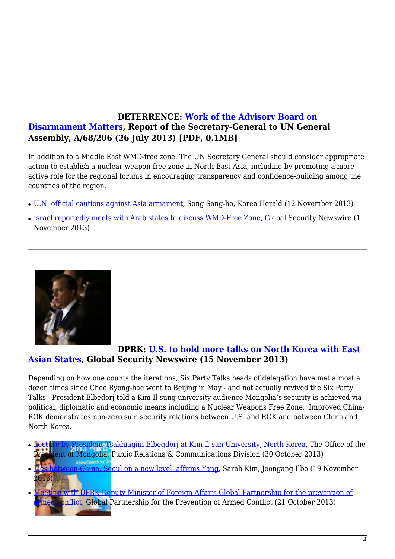#### **DETERRENCE: [Work of the Advisory Board on](https://www.google.com/url?sa=t&rct=j&q=&esrc=s&source=web&cd=1&cad=rja&ved=0CCkQFjAA&url=https://disarmament-library.un.org/UNODA/Library.nsf/a45bed59c24a1b6085257b100050103a/f82ba7fcf1be289085257bce006a670a/$FILE/A%2068%20206.pdf&ei=g-GKUui2JKboiAK9_IDgDw&usg=AFQjCNEYOV_jzz1daIi4POMBvGsoypyE0w) [Disarmament Matters](https://www.google.com/url?sa=t&rct=j&q=&esrc=s&source=web&cd=1&cad=rja&ved=0CCkQFjAA&url=https://disarmament-library.un.org/UNODA/Library.nsf/a45bed59c24a1b6085257b100050103a/f82ba7fcf1be289085257bce006a670a/$FILE/A%2068%20206.pdf&ei=g-GKUui2JKboiAK9_IDgDw&usg=AFQjCNEYOV_jzz1daIi4POMBvGsoypyE0w), Report of the Secretary-General to UN General Assembly, A/68/206 (26 July 2013) [PDF, 0.1MB]**

In addition to a Middle East WMD-free zone, The UN Secretary General should consider appropriate action to establish a nuclear-weapon-free zone in North-East Asia, including by promoting a more active role for the regional forums in encouraging transparency and confidence-building among the countries of the region.

- [U.N. official cautions against Asia armament,](http://www.koreaherald.com/view.php?ud=20131112000902) Song Sang-ho, Korea Herald (12 November 2013)
- [Israel reportedly meets with Arab states to discuss WMD-Free Zone,](http://www.nti.org/gsn/article/israel-reportedly-meets-arab-states-discuss-wmd-free-zone/?utm_source=dlvr.it&utm_medium=twitter) Global Security Newswire (1) November 2013)

<span id="page-1-0"></span>

#### **DPRK: [U.S. to hold more talks on North Korea with East](http://www.nti.org/gsn/article/us-hold-another-round-talks-north-korea-east-asia-allies/) [Asian States,](http://www.nti.org/gsn/article/us-hold-another-round-talks-north-korea-east-asia-allies/) Global Security Newswire (15 November 2013)**

Depending on how one counts the iterations, Six Party Talks heads of delegation have met almost a dozen times since Choe Ryong-hae went to Beijing in May - and not actually revived the Six Party Talks. President Elbedorj told a Kim Il-sung university audience Mongolia's security is achieved via political, diplomatic and economic means including a Nuclear Weapons Free Zone. Improved China-ROK demonstrates non-zero sum security relations between U.S. and ROK and between China and North Korea.

- dent Tsakhiagiin Elbegdorj at Kim Il-sun University, North Korea, The Office of the ent of Mongolia, Public Relations & Communications Division (30 October 2013)
- China, S<mark>e</mark>oul on a new level, affirms Yang, Sarah Kim, Joongang Ilbo (19 November 2013)
- **Example 20 [Meeting with DPRK Deputy Minister of Foreign Affairs Global Partnership for the prevention of](http://www.gppac.net/news/-/asset_publisher/fHv91YcOz0CI/content/meeting-with-dprk-deputy-minister-of-foreign-affairs/?redirect=http://www.gppac.net/home?p_p_id=101_INSTANCE_7liNQL9AeMhc&p_p_lifecycle=0&p_p_state=normal&p_p_mode=view&p_p_col_id=column-1&p_p_col_pos=1&p_p_col_count=3&_101_INSTANCE_7liNQL9AeMhc_currentURL=%2F&_101_INSTANCE_7liNQL9AeMhc_portletAjaxable=1) Emed conflict, Global Partnership for the Prevention of Armed Conflict (21 October 2013)**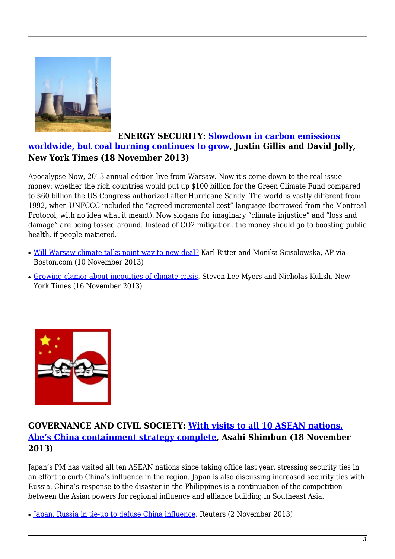<span id="page-2-0"></span>

#### **ENERGY SECURITY: [Slowdown in carbon emissions](http://www.nytimes.com/2013/11/19/science/slowdown-in-carbon-emissions-worldwide-but-coal-burning-continues-to-grow.html) [worldwide, but coal burning continues to grow,](http://www.nytimes.com/2013/11/19/science/slowdown-in-carbon-emissions-worldwide-but-coal-burning-continues-to-grow.html) Justin Gillis and David Jolly, New York Times (18 November 2013)**

Apocalypse Now, 2013 annual edition live from Warsaw. Now it's come down to the real issue – money: whether the rich countries would put up \$100 billion for the Green Climate Fund compared to \$60 billion the US Congress authorized after Hurricane Sandy. The world is vastly different from 1992, when UNFCCC included the "agreed incremental cost" language (borrowed from the Montreal Protocol, with no idea what it meant). Now slogans for imaginary "climate injustice" and "loss and damage" are being tossed around. Instead of CO2 mitigation, the money should go to boosting public health, if people mattered.

- [Will Warsaw climate talks point way to new deal?](http://www.boston.com/2013/11/10/will-warsaw-climate-talks-point-way-new-deal/eQCs2mSmSELGwYyyElwCDI/story.html) Karl Ritter and Monika Scisolowska, AP via Boston.com (10 November 2013)
- [Growing clamor about inequities of climate crisis](http://www.nytimes.com/2013/11/17/world/growing-clamor-about-inequities-of-climate-crisis.html), Steven Lee Myers and Nicholas Kulish, New York Times (16 November 2013)



### <span id="page-2-1"></span>**GOVERNANCE AND CIVIL SOCIETY: [With visits to all 10 ASEAN nations,](http://ajw.asahi.com/article/behind_news/politics/AJ201311180082) [Abe's China containment strategy complete](http://ajw.asahi.com/article/behind_news/politics/AJ201311180082), Asahi Shimbun (18 November 2013)**

Japan's PM has visited all ten ASEAN nations since taking office last year, stressing security ties in an effort to curb China's influence in the region. Japan is also discussing increased security ties with Russia. China's response to the disaster in the Philippines is a continuation of the competition between the Asian powers for regional influence and alliance building in Southeast Asia.

• [Japan, Russia in tie-up to defuse China influence,](http://www.business-standard.com/article/international/japan-russia-in-tie-up-to-defuse-china-influence-113110200566_1.html) Reuters (2 November 2013)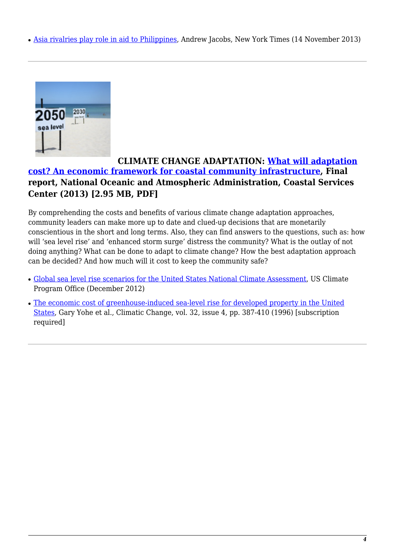• [Asia rivalries play role in aid to Philippines,](http://www.nytimes.com/2013/11/15/world/asia/asia-rivalries-play-role-in-aid-to-the-philippines.html?_r=0) Andrew Jacobs, New York Times (14 November 2013)

<span id="page-3-0"></span>

#### **CLIMATE CHANGE ADAPTATION: [What will adaptation](http://www.csc.noaa.gov/digitalcoast/sites/default/files/files/publications/12072013/What_Will_Adaptation_Cost_Report.pdf) [cost? An economic framework for coastal community infrastructure](http://www.csc.noaa.gov/digitalcoast/sites/default/files/files/publications/12072013/What_Will_Adaptation_Cost_Report.pdf), Final report, National Oceanic and Atmospheric Administration, Coastal Services Center (2013) [2.95 MB, PDF]**

By comprehending the costs and benefits of various climate change adaptation approaches, community leaders can make more up to date and clued-up decisions that are monetarily conscientious in the short and long terms. Also, they can find answers to the questions, such as: how will 'sea level rise' and 'enhanced storm surge' distress the community? What is the outlay of not doing anything? What can be done to adapt to climate change? How the best adaptation approach can be decided? And how much will it cost to keep the community safe?

- [Global sea level rise scenarios for the United States National Climate Assessment,](http://cpo.noaa.gov/Home/Home/AllNews/TabId/315/ArtMID/668/ArticleID/80/Global-Sea-Level-Rise-Scenarios-for-the-United-States-National-Climate-Assessment.aspx) US Climate Program Office (December 2012)
- <span id="page-3-1"></span>• [The economic cost of greenhouse-induced sea-level rise for developed property in the United](http://link.springer.com/article/10.1007/BF00140353) [States](http://link.springer.com/article/10.1007/BF00140353), Gary Yohe et al., Climatic Change, vol. 32, issue 4, pp. 387-410 (1996) [subscription required]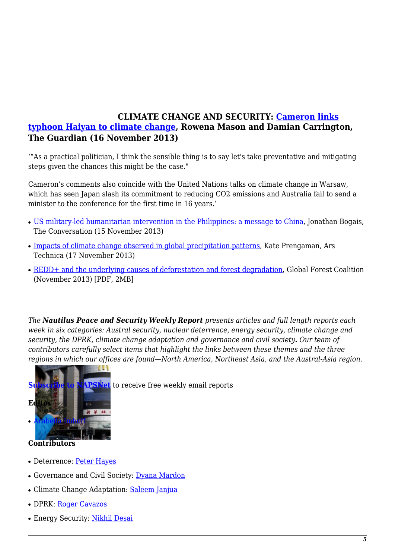#### **CLIMATE CHANGE AND SECURITY: [Cameron links](http://www.theguardian.com/environment/2013/nov/16/david-cameron-climate-change-typhoon-haiyan) [typhoon Haiyan to climate change,](http://www.theguardian.com/environment/2013/nov/16/david-cameron-climate-change-typhoon-haiyan) Rowena Mason and Damian Carrington, The Guardian (16 November 2013)**

'"As a practical politician, I think the sensible thing is to say let's take preventative and mitigating steps given the chances this might be the case."

Cameron's comments also coincide with the United Nations talks on climate change in Warsaw, which has seen Japan slash its commitment to reducing CO2 emissions and Australia fail to send a minister to the conference for the first time in 16 years.'

- [US military-led humanitarian intervention in the Philippines: a message to China,](http://theconversation.com/us-military-led-humanitarian-intervention-in-the-philippines-a-message-to-china-20070) Jonathan Bogais, The Conversation (15 November 2013)
- [Impacts of climate change observed in global precipitation patterns,](http://arstechnica.com/science/2013/11/impacts-of-climate-change-observed-in-global-precipitation-patterns/) Kate Prengaman, Ars Technica (17 November 2013)
- [REDD+ and the underlying causes of deforestation and forest degradation,](http://globalforestcoalition.org/wp-content/uploads/2013/11/REDD-and-UC-report-final.pdf) Global Forest Coalition (November 2013) [PDF, 2MB]

*The Nautilus Peace and Security Weekly Report presents articles and full length reports each week in six categories: Austral security, nuclear deterrence, energy security, climate change and security, the DPRK, climate change adaptation and governance and civil society. Our team of contributors carefully select items that highlight the links between these themes and the three regions in which our offices are found—North America, Northeast Asia, and the Austral-Asia region.* 



[t](http://www.nautilus.org/mailing-lists/sign-up-for-mailing-lists/)o receive free weekly email reports

- **Contributors**
- Deterrence: [Peter Hayes](http://www.nautilus.org/about/staff/peter-hayes)
- Governance and Civil Society: [Dyana Mardon](http://www.nautilus.org/offices/nautilus-ari/dyana-mardon)
- Climate Change Adaptation: [Saleem Janjua](http://www.nautilus.org/about/associates/saleem-janjua)
- DPRK: [Roger Cavazos](https://nautilus.org/about/associates/roger-cavazos/)
- Energy Security: [Nikhil Desai](https://nautilus.org/network/associates/nikhil-desai/)